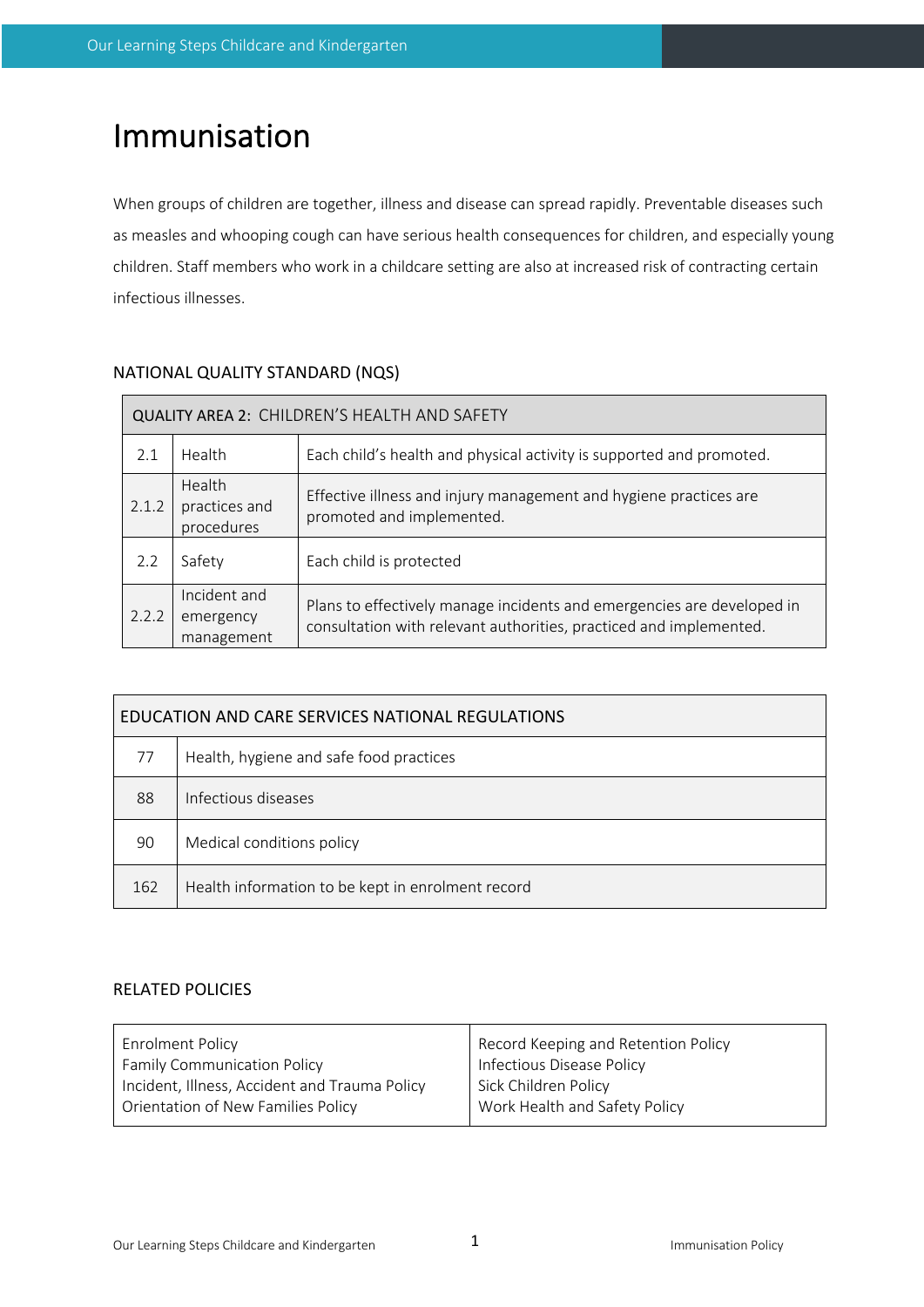# Immunisation

When groups of children are together, illness and disease can spread rapidly. Preventable diseases such as measles and whooping cough can have serious health consequences for children, and especially young children. Staff members who work in a childcare setting are also at increased risk of contracting certain infectious illnesses.

| QUALITY AREA 2: CHILDREN'S HEALTH AND SAFETY |                                         |                                                                                                                                              |  |  |  |  |  |
|----------------------------------------------|-----------------------------------------|----------------------------------------------------------------------------------------------------------------------------------------------|--|--|--|--|--|
| 2.1                                          | Health                                  | Each child's health and physical activity is supported and promoted.                                                                         |  |  |  |  |  |
| 2.1.2                                        | Health<br>practices and<br>procedures   | Effective illness and injury management and hygiene practices are<br>promoted and implemented.                                               |  |  |  |  |  |
| 2.2                                          | Safety                                  | Each child is protected                                                                                                                      |  |  |  |  |  |
| 2.2.2                                        | Incident and<br>emergency<br>management | Plans to effectively manage incidents and emergencies are developed in<br>consultation with relevant authorities, practiced and implemented. |  |  |  |  |  |

# NATIONAL QUALITY STANDARD (NQS)

| EDUCATION AND CARE SERVICES NATIONAL REGULATIONS |                                                   |  |  |  |  |  |
|--------------------------------------------------|---------------------------------------------------|--|--|--|--|--|
| 77                                               | Health, hygiene and safe food practices           |  |  |  |  |  |
| 88                                               | Infectious diseases                               |  |  |  |  |  |
| 90                                               | Medical conditions policy                         |  |  |  |  |  |
| 162                                              | Health information to be kept in enrolment record |  |  |  |  |  |

## RELATED POLICIES

| <b>Enrolment Policy</b>                       | Record Keeping and Retention Policy |  |  |
|-----------------------------------------------|-------------------------------------|--|--|
| <b>Family Communication Policy</b>            | Infectious Disease Policy           |  |  |
| Incident, Illness, Accident and Trauma Policy | Sick Children Policy                |  |  |
| Orientation of New Families Policy            | Work Health and Safety Policy       |  |  |
|                                               |                                     |  |  |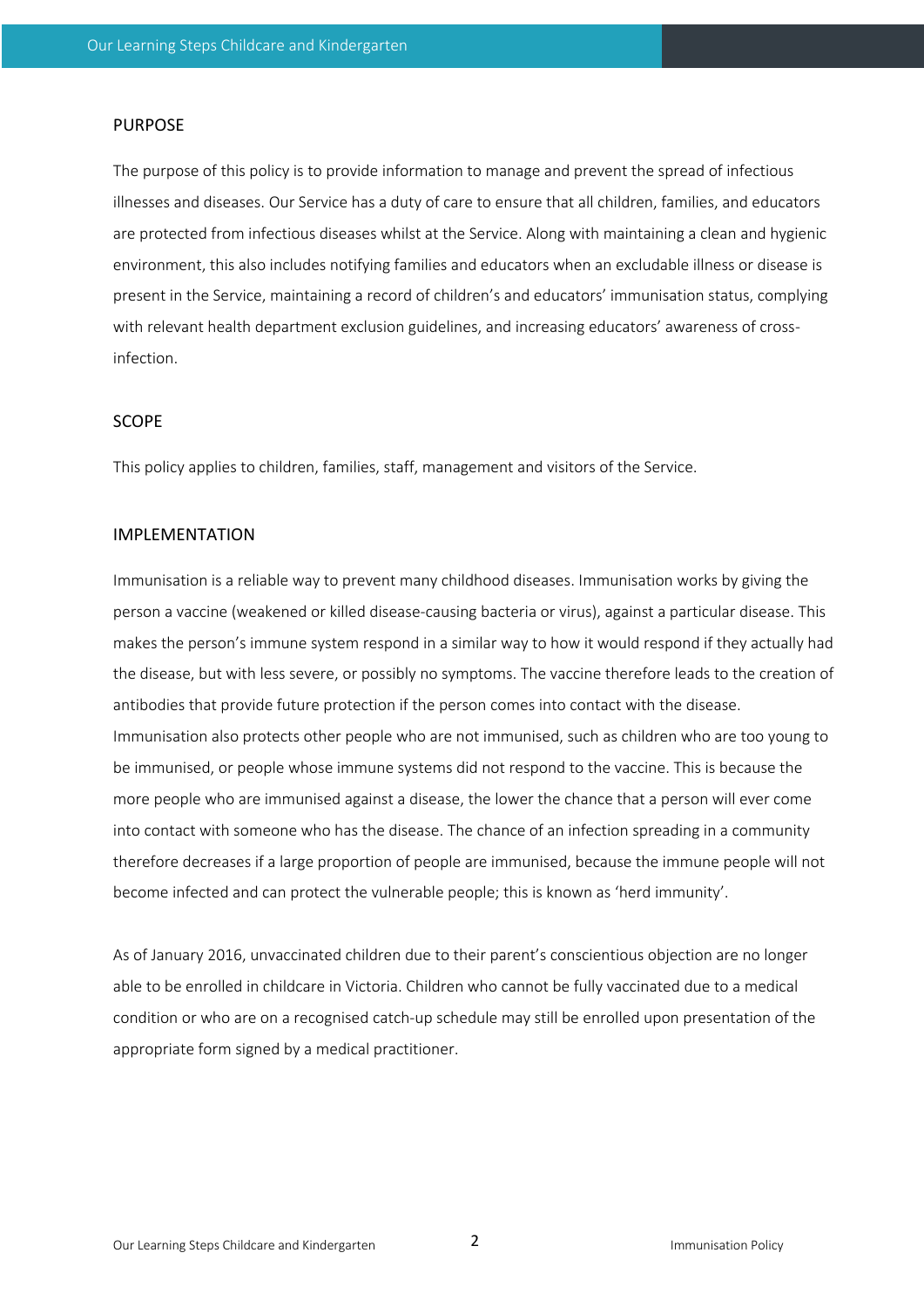#### PURPOSE

The purpose of this policy is to provide information to manage and prevent the spread of infectious illnesses and diseases. Our Service has a duty of care to ensure that all children, families, and educators are protected from infectious diseases whilst at the Service. Along with maintaining a clean and hygienic environment, this also includes notifying families and educators when an excludable illness or disease is present in the Service, maintaining a record of children's and educators' immunisation status, complying with relevant health department exclusion guidelines, and increasing educators' awareness of crossinfection.

## SCOPE

This policy applies to children, families, staff, management and visitors of the Service.

#### IMPLEMENTATION

Immunisation is a reliable way to prevent many childhood diseases. Immunisation works by giving the person a vaccine (weakened or killed disease-causing bacteria or virus), against a particular disease. This makes the person's immune system respond in a similar way to how it would respond if they actually had the disease, but with less severe, or possibly no symptoms. The vaccine therefore leads to the creation of antibodies that provide future protection if the person comes into contact with the disease. Immunisation also protects other people who are not immunised, such as children who are too young to be immunised, or people whose immune systems did not respond to the vaccine. This is because the more people who are immunised against a disease, the lower the chance that a person will ever come into contact with someone who has the disease. The chance of an infection spreading in a community therefore decreases if a large proportion of people are immunised, because the immune people will not become infected and can protect the vulnerable people; this is known as 'herd immunity'.

As of January 2016, unvaccinated children due to their parent's conscientious objection are no longer able to be enrolled in childcare in Victoria. Children who cannot be fully vaccinated due to a medical condition or who are on a recognised catch-up schedule may still be enrolled upon presentation of the appropriate form signed by a medical practitioner.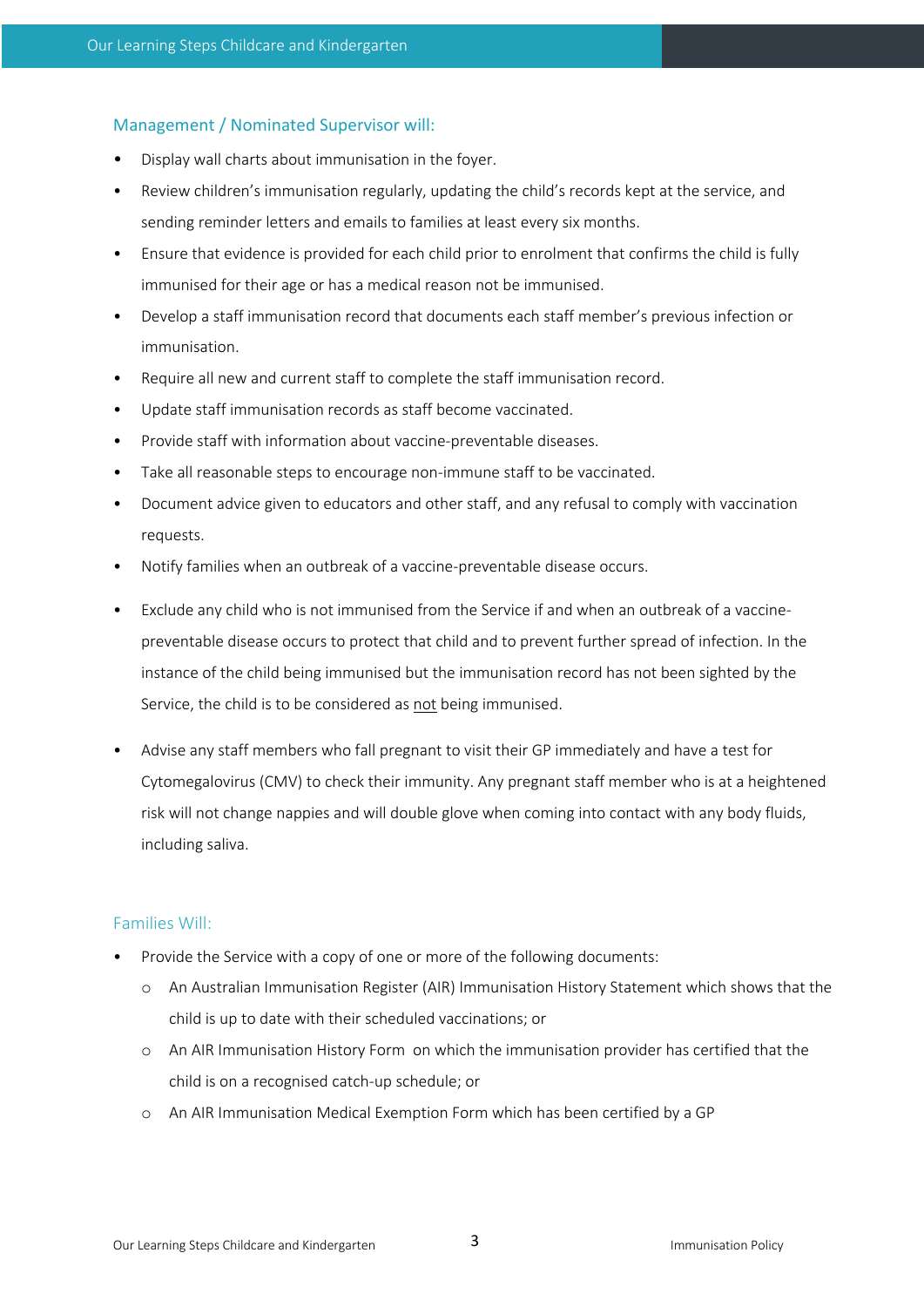## Management / Nominated Supervisor will:

- Display wall charts about immunisation in the foyer.
- Review children's immunisation regularly, updating the child's records kept at the service, and sending reminder letters and emails to families at least every six months.
- Ensure that evidence is provided for each child prior to enrolment that confirms the child is fully immunised for their age or has a medical reason not be immunised.
- Develop a staff immunisation record that documents each staff member's previous infection or immunisation.
- Require all new and current staff to complete the staff immunisation record.
- Update staff immunisation records as staff become vaccinated.
- Provide staff with information about vaccine-preventable diseases.
- Take all reasonable steps to encourage non-immune staff to be vaccinated.
- Document advice given to educators and other staff, and any refusal to comply with vaccination requests.
- Notify families when an outbreak of a vaccine-preventable disease occurs.
- Exclude any child who is not immunised from the Service if and when an outbreak of a vaccinepreventable disease occurs to protect that child and to prevent further spread of infection. In the instance of the child being immunised but the immunisation record has not been sighted by the Service, the child is to be considered as not being immunised.
- Advise any staff members who fall pregnant to visit their GP immediately and have a test for Cytomegalovirus (CMV) to check their immunity. Any pregnant staff member who is at a heightened risk will not change nappies and will double glove when coming into contact with any body fluids, including saliva.

## Families Will:

- Provide the Service with a copy of one or more of the following documents:
	- o An Australian Immunisation Register (AIR) Immunisation History Statement which shows that the child is up to date with their scheduled vaccinations; or
	- o An AIR Immunisation History Form on which the immunisation provider has certified that the child is on a recognised catch-up schedule; or
	- o An AIR Immunisation Medical Exemption Form which has been certified by a GP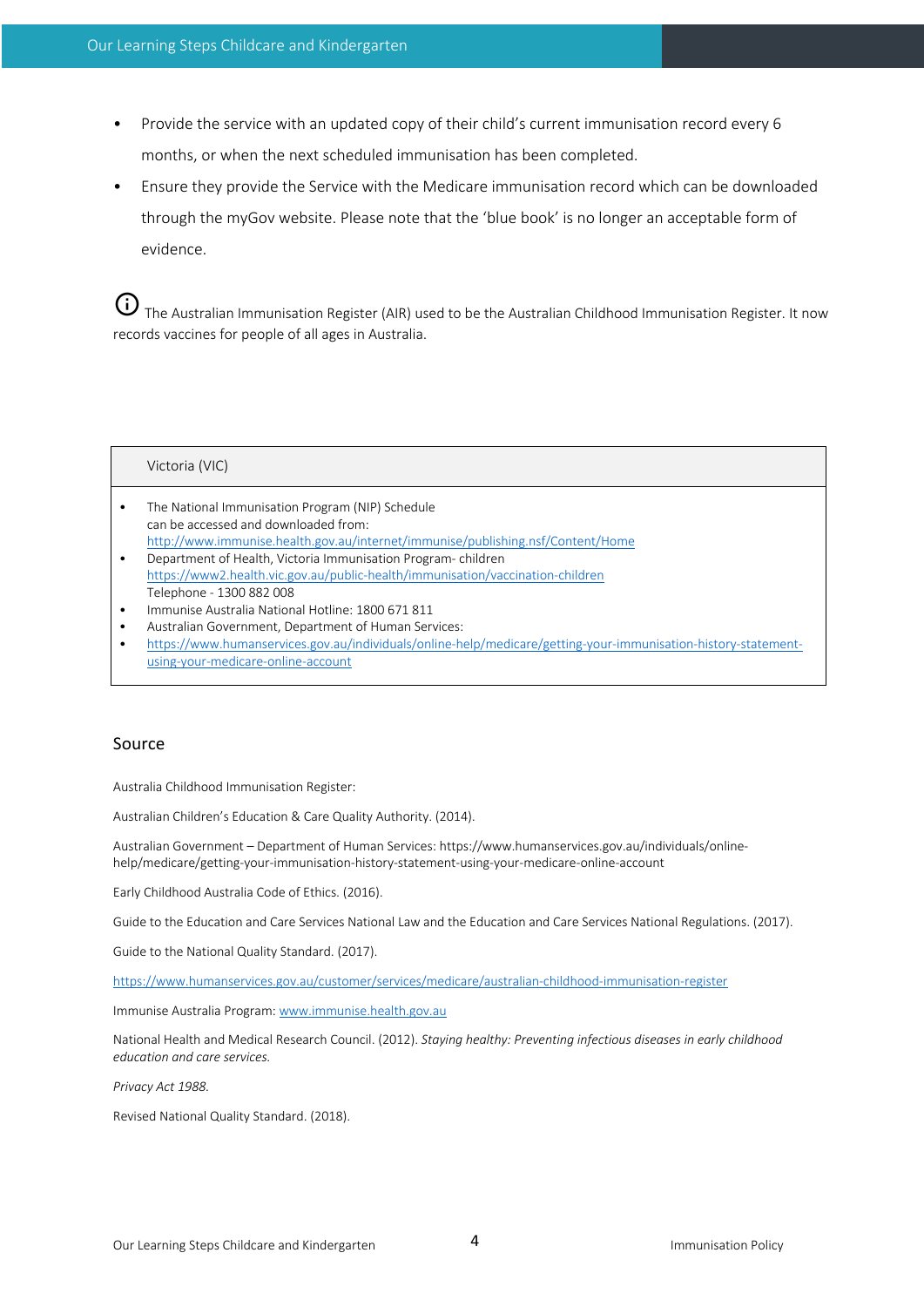- Provide the service with an updated copy of their child's current immunisation record every 6 months, or when the next scheduled immunisation has been completed.
- Ensure they provide the Service with the Medicare immunisation record which can be downloaded through the myGov website. Please note that the 'blue book' is no longer an acceptable form of evidence.

 $\bigoplus$  The Australian Immunisation Register (AIR) used to be the Australian Childhood Immunisation Register. It now records vaccines for people of all ages in Australia.

#### Victoria (VIC)

- The National Immunisation Program (NIP) Schedule can be accessed and downloaded from: http://www.immunise.health.gov.au/internet/immunise/publishing.nsf/Content/Home
- Department of Health, Victoria Immunisation Program- children https://www2.health.vic.gov.au/public-health/immunisation/vaccination-children Telephone - 1300 882 008
- Immunise Australia National Hotline: 1800 671 811
- Australian Government, Department of Human Services:
- https://www.humanservices.gov.au/individuals/online-help/medicare/getting-your-immunisation-history-statementusing-your-medicare-online-account

#### Source

Australia Childhood Immunisation Register:

Australian Children's Education & Care Quality Authority. (2014).

Australian Government – Department of Human Services: https://www.humanservices.gov.au/individuals/onlinehelp/medicare/getting-your-immunisation-history-statement-using-your-medicare-online-account

Early Childhood Australia Code of Ethics. (2016).

Guide to the Education and Care Services National Law and the Education and Care Services National Regulations. (2017).

Guide to the National Quality Standard. (2017).

https://www.humanservices.gov.au/customer/services/medicare/australian-childhood-immunisation-register

Immunise Australia Program: www.immunise.health.gov.au

National Health and Medical Research Council. (2012). *Staying healthy: Preventing infectious diseases in early childhood education and care services.* 

*Privacy Act 1988.* 

Revised National Quality Standard. (2018).